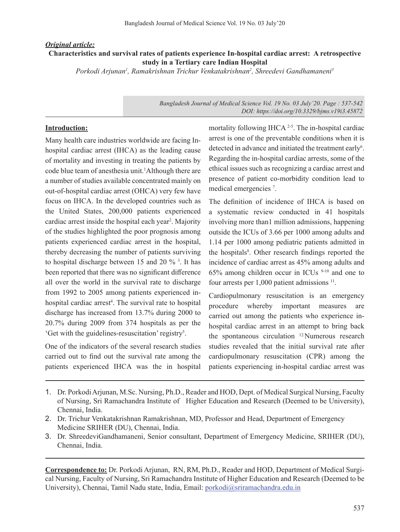## *Original article:* **Characteristics and survival rates of patients experience In-hospital cardiac arrest: A retrospective study in a Tertiary care Indian Hospital**

Porkodi Arjunan<sup>1</sup>, Ramakrishnan Trichur Venkatakrishnan<sup>2</sup>, Shreedevi Gandhamaneni<sup>3</sup>

*Bangladesh Journal of Medical Science Vol. 19 No. 03 July'20. Page : 537-542 DOI: https://doi.org/10.3329/bjms.v19i3.45872*

#### **Introduction:**

Many health care industries worldwide are facing Inhospital cardiac arrest (IHCA) as the leading cause of mortality and investing in treating the patients by code blue team of anesthesia unit.<sup>1</sup>Although there are a number of studies available concentrated mainly on out-of-hospital cardiac arrest (OHCA) very few have focus on IHCA. In the developed countries such as the United States, 200,000 patients experienced cardiac arrest inside the hospital each year<sup>2</sup>. Majority of the studies highlighted the poor prognosis among patients experienced cardiac arrest in the hospital, thereby decreasing the number of patients surviving to hospital discharge between 15 and 20 %<sup>3</sup>. It has been reported that there was no significant difference all over the world in the survival rate to discharge from 1992 to 2005 among patients experienced inhospital cardiac arrest<sup>4</sup>. The survival rate to hospital discharge has increased from 13.7% during 2000 to 20.7% during 2009 from 374 hospitals as per the 'Get with the guidelines-resuscitation' registry<sup>5</sup> .

One of the indicators of the several research studies carried out to find out the survival rate among the patients experienced IHCA was the in hospital mortality following IHCA <sup>2-5</sup>. The in-hospital cardiac arrest is one of the preventable conditions when it is detected in advance and initiated the treatment early<sup>6</sup>. Regarding the in-hospital cardiac arrests, some of the ethical issues such as recognizing a cardiac arrest and presence of patient co-morbidity condition lead to medical emergencies<sup>7</sup>.

The definition of incidence of IHCA is based on a systematic review conducted in 41 hospitals involving more than1 million admissions, happening outside the ICUs of 3.66 per 1000 among adults and 1.14 per 1000 among pediatric patients admitted in the hospitals<sup>8</sup>. Other research findings reported the incidence of cardiac arrest as 45% among adults and  $65\%$  among children occur in ICUs  $9-10$  and one to four arrests per  $1,000$  patient admissions  $11$ .

Cardiopulmonary resuscitation is an emergency procedure whereby important measures are carried out among the patients who experience inhospital cardiac arrest in an attempt to bring back the spontaneous circulation 12.Numerous research studies revealed that the initial survival rate after cardiopulmonary resuscitation (CPR) among the patients experiencing in-hospital cardiac arrest was

3. Dr. ShreedeviGandhamaneni, Senior consultant, Department of Emergency Medicine, SRIHER (DU), Chennai, India.

**Correspondence to:** Dr. Porkodi Arjunan, RN, RM, Ph.D., Reader and HOD, Department of Medical Surgical Nursing, Faculty of Nursing, Sri Ramachandra Institute of Higher Education and Research (Deemed to be University), Chennai, Tamil Nadu state, India, Email: porkodi@sriramachandra.edu.in

<sup>1.</sup> Dr. PorkodiArjunan, M.Sc. Nursing, Ph.D., Reader and HOD, Dept. of Medical Surgical Nursing, Faculty of Nursing, Sri Ramachandra Institute of Higher Education and Research (Deemed to be University), Chennai, India.

<sup>2.</sup> Dr. Trichur Venkatakrishnan Ramakrishnan, MD, Professor and Head, Department of Emergency Medicine SRIHER (DU), Chennai, India.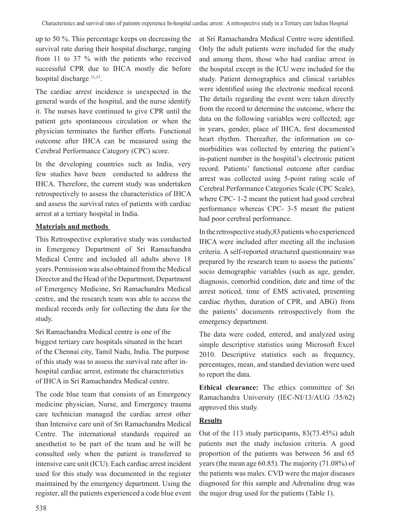up to 50 %. This percentage keeps on decreasing the survival rate during their hospital discharge, ranging from 11 to 37 % with the patients who received successful CPR due to IHCA mostly die before hospital discharge  $11,13$ .

The cardiac arrest incidence is unexpected in the general wards of the hospital, and the nurse identify it. The nurses have continued to give CPR until the patient gets spontaneous circulation or when the physician terminates the further efforts. Functional outcome after IHCA can be measured using the Cerebral Performance Category (CPC) score.

In the developing countries such as India, very few studies have been conducted to address the IHCA. Therefore, the current study was undertaken retrospectively to assess the characteristics of IHCA and assess the survival rates of patients with cardiac arrest at a tertiary hospital in India.

## **Materials and methods**

This Retrospective explorative study was conducted in Emergency Department of Sri Ramachandra Medical Centre and included all adults above 18 years. Permission was also obtained from the Medical Director and the Head of the Department, Department of Emergency Medicine, Sri Ramachandra Medical centre, and the research team was able to access the medical records only for collecting the data for the study.

Sri Ramachandra Medical centre is one of the biggest tertiary care hospitals situated in the heart of the Chennai city, Tamil Nadu, India. The purpose of this study was to assess the survival rate after inhospital cardiac arrest, estimate the characteristics of IHCA in Sri Ramachandra Medical centre.

The code blue team that consists of an Emergency medicine physician, Nurse, and Emergency trauma care technician managed the cardiac arrest other than Intensive care unit of Sri Ramachandra Medical Centre. The international standards required an anesthetist to be part of the team and he will be consulted only when the patient is transferred to intensive care unit (ICU). Each cardiac arrest incident used for this study was documented in the register maintained by the emergency department. Using the register, all the patients experienced a code blue event

at Sri Ramachandra Medical Centre were identified. Only the adult patients were included for the study and among them, those who had cardiac arrest in the hospital except in the ICU were included for the study. Patient demographics and clinical variables were identified using the electronic medical record. The details regarding the event were taken directly from the record to determine the outcome, where the data on the following variables were collected; age in years, gender, place of IHCA, first documented heart rhythm. Thereafter, the information on comorbidities was collected by entering the patient's in-patient number in the hospital's electronic patient record. Patients' functional outcome after cardiac arrest was collected using 5-point rating scale of Cerebral Performance Categories Scale (CPC Scale), where CPC- 1-2 meant the patient had good cerebral performance whereas CPC- 3-5 meant the patient had poor cerebral performance.

In the retrospective study,83 patientswho experienced IHCA were included after meeting all the inclusion criteria. A self-reported structured questionnaire was prepared by the research team to assess the patients' socio demographic variables (such as age, gender, diagnosis, comorbid condition, date and time of the arrest noticed, time of EMS activated, presenting cardiac rhythm, duration of CPR, and ABG) from the patients' documents retrospectively from the emergency department.

The data were coded, entered, and analyzed using simple descriptive statistics using Microsoft Excel 2010. Descriptive statistics such as frequency, percentages, mean, and standard deviation were used to report the data.

**Ethical clearance:** The ethics committee of Sri Ramachandra University (IEC-NI/13/AUG /35/62) approved this study.

## **Results**

Out of the 113 study participants, 83(73.45%) adult patients met the study inclusion criteria. A good proportion of the patients was between 56 and 65 years(the mean age 60.85). The majority (71.08%) of the patients was males. CVD were the major diseases diagnosed for this sample and Adrenaline drug was the major drug used for the patients (Table 1).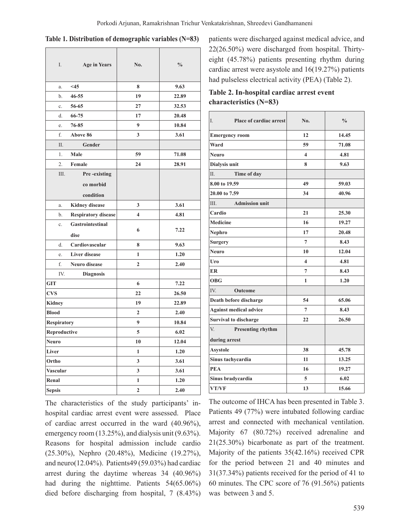| I.                 | <b>Age in Years</b>        | No.                     | $\frac{0}{0}$ |
|--------------------|----------------------------|-------------------------|---------------|
| a.                 | $<$ 45                     | 8                       | 9.63          |
| b.                 | $46 - 55$                  | 19                      | 22.89         |
| c.                 | 56-65                      | 27                      | 32.53         |
| d.                 | 66-75                      | 17                      | 20.48         |
| e.                 | 76-85                      | 9                       | 10.84         |
| f.                 | <b>Above 86</b>            | 3                       | 3.61          |
| Π.                 | Gender                     |                         |               |
| 1.                 | Male                       | 59                      | 71.08         |
| $\overline{2}$ .   | Female                     | 24                      | 28.91         |
| III.               | Pre-existing               |                         |               |
|                    | co morbid<br>condition     |                         |               |
| a.                 | <b>Kidney disease</b>      | 3                       | 3.61          |
| b.                 | <b>Respiratory disease</b> | $\overline{\mathbf{4}}$ | 4.81          |
| c.                 | Gastrointestinal<br>dise   | 6                       | 7.22          |
| d.                 | Cardiovascular             | 8                       | 9.63          |
| e.                 | <b>Liver disease</b>       | $\mathbf{1}$            | 1.20          |
| f.                 | Neuro disease              | $\overline{2}$          | 2.40          |
| IV.                | <b>Diagnosis</b>           |                         |               |
| <b>GIT</b>         |                            | 6                       | 7.22          |
| <b>CVS</b>         |                            | 22                      | 26.50         |
| <b>Kidney</b>      |                            | 19                      | 22.89         |
| <b>Blood</b>       |                            | $\overline{2}$          | 2.40          |
| <b>Respiratory</b> |                            | 9                       | 10.84         |
| Reproductive       |                            | 5                       | 6.02          |
| <b>Neuro</b>       |                            | 10                      | 12.04         |
| Liver              |                            | $\mathbf{1}$            | 1.20          |
| Ortho              |                            | 3                       | 3.61          |
| Vascular           |                            | 3                       | 3.61          |
| Renal              |                            | 1                       | 1.20          |
| <b>Sepsis</b>      |                            | $\overline{2}$          | 2.40          |

| Table 1. Distribution of demographic variables (N=83) |  |
|-------------------------------------------------------|--|
|-------------------------------------------------------|--|

The characteristics of the study participants' inhospital cardiac arrest event were assessed. Place of cardiac arrest occurred in the ward (40.96%), emergency room (13.25%), and dialysis unit (9.63%). Reasons for hospital admission include cardio (25.30%), Nephro (20.48%), Medicine (19.27%), and neuro(12.04%). Patients49 (59.03%) had cardiac arrest during the daytime whereas 34 (40.96%) had during the nighttime. Patients 54(65.06%) died before discharging from hospital, 7 (8.43%) patients were discharged against medical advice, and 22(26.50%) were discharged from hospital. Thirtyeight (45.78%) patients presenting rhythm during cardiac arrest were asystole and 16(19.27%) patients had pulseless electrical activity (PEA) (Table 2).

| Table 2. In-hospital cardiac arrest event |
|-------------------------------------------|
| characteristics $(N=83)$                  |

| I.<br>Place of cardiac arrest | No.                     | $\frac{0}{0}$ |
|-------------------------------|-------------------------|---------------|
| <b>Emergency room</b>         | 12                      | 14.45         |
| Ward                          | 59                      | 71.08         |
| Neuro                         | 4                       | 4.81          |
| Dialysis unit                 | 8                       | 9.63          |
| II.<br>Time of day            |                         |               |
| 8.00 to 19.59                 | 49                      | 59.03         |
| 20.00 to 7.59                 | 34                      | 40.96         |
| <b>Admission unit</b><br>III. |                         |               |
| Cardio                        | 21                      | 25.30         |
| <b>Medicine</b>               | 16                      | 19.27         |
| Nephro                        | 17                      | 20.48         |
| <b>Surgery</b>                | 7                       | 8.43          |
| <b>Neuro</b>                  | 10                      | 12.04         |
| Uro                           | $\overline{\mathbf{4}}$ | 4.81          |
| ER                            | $\overline{7}$          | 8.43          |
| <b>OBG</b>                    | 1                       | 1.20          |
| IV.<br><b>Outcome</b>         |                         |               |
| Death before discharge        | 54                      | 65.06         |
| <b>Against medical advice</b> | $\overline{7}$          | 8.43          |
| <b>Survival to discharge</b>  | 22                      | 26.50         |
| V.<br>Presenting rhythm       |                         |               |
| during arrest                 |                         |               |
| <b>Asystole</b>               | 38                      | 45.78         |
| Sinus tachycardia             | 11                      | 13.25         |
| <b>PEA</b>                    | 16                      | 19.27         |
| Sinus bradycardia             | 5                       | 6.02          |
| VT/VF                         | 13                      | 15.66         |

The outcome of IHCA has been presented in Table 3. Patients 49 (77%) were intubated following cardiac arrest and connected with mechanical ventilation. Majority 67 (80.72%) received adrenaline and 21(25.30%) bicarbonate as part of the treatment. Majority of the patients 35(42.16%) received CPR for the period between 21 and 40 minutes and 31(37.34%) patients received for the period of 41 to 60 minutes. The CPC score of 76 (91.56%) patients was between 3 and 5.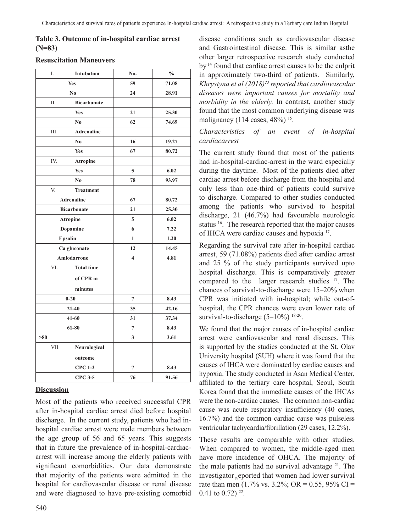## **Table 3. Outcome of in-hospital cardiac arrest (N=83)**

| I.                | <b>Intubation</b>  | No.                     | $\frac{0}{0}$ |
|-------------------|--------------------|-------------------------|---------------|
| <b>Yes</b>        |                    | 59                      | 71.08         |
| N <sub>0</sub>    |                    | 24                      | 28.91         |
| Π.                | <b>Bicarbonate</b> |                         |               |
|                   | <b>Yes</b>         | 21                      | 25.30         |
|                   | No                 | 62                      | 74.69         |
| Ш.                | <b>Adrenaline</b>  |                         |               |
|                   | N <sub>0</sub>     | 16                      | 19.27         |
|                   | Yes                | 67                      | 80.72         |
| IV.               | <b>Atropine</b>    |                         |               |
|                   | <b>Yes</b>         | 5                       | 6.02          |
|                   | No                 | 78                      | 93.97         |
| V.                | <b>Treatment</b>   |                         |               |
| <b>Adrenaline</b> |                    | 67                      | 80.72         |
|                   | <b>Bicarbonate</b> | 21                      | 25.30         |
|                   | <b>Atropine</b>    | 5                       | 6.02          |
|                   | <b>Dopamine</b>    | 6                       | 7.22          |
| <b>Epsolin</b>    |                    | $\mathbf{1}$            | 1.20          |
|                   | Ca gluconate       | 12                      | 14.45         |
|                   | Amiodarrone        | $\overline{\mathbf{4}}$ | 4.81          |
| VI.               | <b>Total time</b>  |                         |               |
|                   | of CPR in          |                         |               |
| minutes           |                    |                         |               |
| $0 - 20$          |                    | $\overline{7}$          | 8.43          |
| $21 - 40$         |                    | 35                      | 42.16         |
| $41 - 60$         |                    | 31                      | 37.34         |
| 61-80             |                    | $\overline{7}$          | 8.43          |
| >80               |                    | 3                       | 3.61          |
| VII.              | Neurological       |                         |               |
|                   | outcome            |                         |               |
|                   | <b>CPC 1-2</b>     | $\overline{7}$          | 8.43          |
|                   | <b>CPC 3-5</b>     | 76                      | 91.56         |

#### **Resuscitation Maneuvers**

## **Discussion**

Most of the patients who received successful CPR after in-hospital cardiac arrest died before hospital discharge. In the current study, patients who had inhospital cardiac arrest were male members between the age group of 56 and 65 years. This suggests that in future the prevalence of in-hospital-cardiacarrest will increase among the elderly patients with significant comorbidities. Our data demonstrate that majority of the patients were admitted in the hospital for cardiovascular disease or renal disease and were diagnosed to have pre-existing comorbid

disease conditions such as cardiovascular disease and Gastrointestinal disease. This is similar asthe other larger retrospective research study conducted by <sup>14</sup> found that cardiac arrest causes to be the culprit in approximately two-third of patients. Similarly, *Khrystyna et al (2018)23 reported that cardiovascular diseases were important causes for mortality and morbidity in the elderly.* In contrast, another study found that the most common underlying disease was malignancy (114 cases,  $48\%$ )<sup>15</sup>.

#### *Characteristics of an event of in-hospital cardiacarrest*

The current study found that most of the patients had in-hospital-cardiac-arrest in the ward especially during the daytime. Most of the patients died after cardiac arrest before discharge from the hospital and only less than one-third of patients could survive to discharge. Compared to other studies conducted among the patients who survived to hospital discharge, 21 (46.7%) had favourable neurologic status <sup>16</sup>. The research reported that the major causes of IHCA were cardiac causes and hypoxia <sup>17</sup>.

Regarding the survival rate after in-hospital cardiac arrest, 59 (71.08%) patients died after cardiac arrest and 25 % of the study participants survived upto hospital discharge. This is comparatively greater compared to the larger research studies <sup>17</sup>. The chances of survival-to-discharge were 15–20% when CPR was initiated with in-hospital; while out-ofhospital, the CPR chances were even lower rate of survival-to-discharge (5-10%) <sup>18-20</sup>.

We found that the major causes of in-hospital cardiac arrest were cardiovascular and renal diseases. This is supported by the studies conducted at the St. Olav University hospital (SUH) where it was found that the causes of IHCA were dominated by cardiac causes and hypoxia. The study conducted in Asan Medical Center, affiliated to the tertiary care hospital, Seoul, South Korea found that the immediate causes of the IHCAs were the non-cardiac causes. The common non-cardiac cause was acute respiratory insufficiency (40 cases, 16.7%) and the common cardiac cause was pulseless ventricular tachycardia/fibrillation (29 cases, 12.2%).

These results are comparable with other studies. When compared to women, the middle-aged men have more incidence of OHCA. The majority of the male patients had no survival advantage  $21$ . The investigator eported that women had lower survival rate than men (1.7% vs. 3.2%; OR = 0.55, 95% CI = 0.41 to 0.72)  $^{22}$ .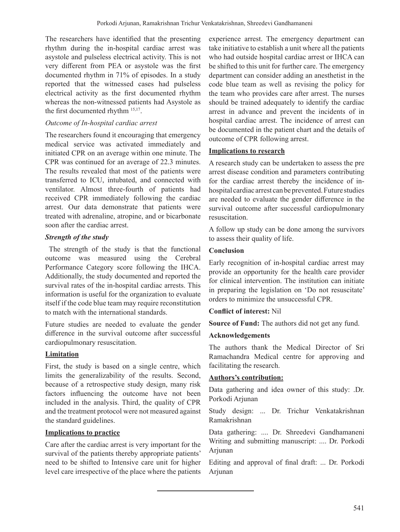The researchers have identified that the presenting rhythm during the in-hospital cardiac arrest was asystole and pulseless electrical activity. This is not very different from PEA or asystole was the first documented rhythm in 71% of episodes. In a study reported that the witnessed cases had pulseless electrical activity as the first documented rhythm whereas the non-witnessed patients had Asystole as the first documented rhythm 15,17.

## *Outcome of In-hospital cardiac arrest*

The researchers found it encouraging that emergency medical service was activated immediately and initiated CPR on an average within one minute. The CPR was continued for an average of 22.3 minutes. The results revealed that most of the patients were transferred to ICU, intubated, and connected with ventilator. Almost three-fourth of patients had received CPR immediately following the cardiac arrest. Our data demonstrate that patients were treated with adrenaline, atropine, and or bicarbonate soon after the cardiac arrest.

## *Strength of the study*

The strength of the study is that the functional outcome was measured using the Cerebral Performance Category score following the IHCA. Additionally, the study documented and reported the survival rates of the in-hospital cardiac arrests. This information is useful for the organization to evaluate itself if the code blue team may require reconstitution to match with the international standards.

Future studies are needed to evaluate the gender difference in the survival outcome after successful cardiopulmonary resuscitation.

# **Limitation**

First, the study is based on a single centre, which limits the generalizability of the results. Second, because of a retrospective study design, many risk factors influencing the outcome have not been included in the analysis. Third, the quality of CPR and the treatment protocol were not measured against the standard guidelines.

## **Implications to practice**

Care after the cardiac arrest is very important for the survival of the patients thereby appropriate patients' need to be shifted to Intensive care unit for higher level care irrespective of the place where the patients experience arrest. The emergency department can take initiative to establish a unit where all the patients who had outside hospital cardiac arrest or IHCA can be shifted to this unit for further care. The emergency department can consider adding an anesthetist in the code blue team as well as revising the policy for the team who provides care after arrest. The nurses should be trained adequately to identify the cardiac arrest in advance and prevent the incidents of in hospital cardiac arrest. The incidence of arrest can be documented in the patient chart and the details of outcome of CPR following arrest.

## **Implications to research**

A research study can be undertaken to assess the pre arrest disease condition and parameters contributing for the cardiac arrest thereby the incidence of inhospital cardiac arrest can be prevented. Future studies are needed to evaluate the gender difference in the survival outcome after successful cardiopulmonary resuscitation.

A follow up study can be done among the survivors to assess their quality of life.

## **Conclusion**

Early recognition of in-hospital cardiac arrest may provide an opportunity for the health care provider for clinical intervention. The institution can initiate in preparing the legislation on 'Do not resuscitate' orders to minimize the unsuccessful CPR.

## **Conflict of interest:** Nil

**Source of Fund:** The authors did not get any fund.

## **Acknowledgements**

The authors thank the Medical Director of Sri Ramachandra Medical centre for approving and facilitating the research.

## **Authors's contribution:**

Data gathering and idea owner of this study: .Dr. Porkodi Arjunan

Study design: ... Dr. Trichur Venkatakrishnan Ramakrishnan

Data gathering: .... Dr. Shreedevi Gandhamaneni Writing and submitting manuscript: .... Dr. Porkodi Arjunan

Editing and approval of final draft: ... Dr. Porkodi Arjunan